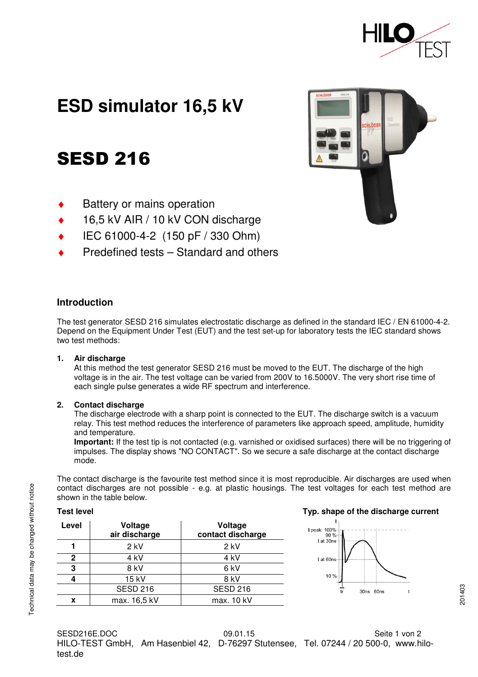

# **ESD simulator 16,5 kV**

# SESD 216

- **Battery or mains operation**
- 16,5 kV AIR / 10 kV CON discharge
- IEC 61000-4-2 (150 pF / 330 Ohm)
- Predefined tests Standard and others



# **Introduction**

The test generator SESD 216 simulates electrostatic discharge as defined in the standard IEC / EN 61000-4-2. Depend on the Equipment Under Test (EUT) and the test set-up for laboratory tests the IEC standard shows two test methods:

#### **1. Air discharge**

At this method the test generator SESD 216 must be moved to the EUT. The discharge of the high voltage is in the air. The test voltage can be varied from 200V to 16.5000V. The very short rise time of each single pulse generates a wide RF spectrum and interference.

#### **2. Contact discharge**

The discharge electrode with a sharp point is connected to the EUT. The discharge switch is a vacuum relay. This test method reduces the interference of parameters like approach speed, amplitude, humidity and temperature.

**Important:** If the test tip is not contacted (e.g. varnished or oxidised surfaces) there will be no triggering of impulses. The display shows "NO CONTACT". So we secure a safe discharge at the contact discharge mode.

The contact discharge is the favourite test method since it is most reproducible. Air discharges are used when contact discharges are not possible - e.g. at plastic housings. The test voltages for each test method are shown in the table below.

| <b>Test level</b> |  |
|-------------------|--|
|                   |  |

| Level | Voltage<br>air discharge | Voltage<br>contact discharge |  |  |
|-------|--------------------------|------------------------------|--|--|
|       | $2$ kV                   | $2$ kV                       |  |  |
| 2     | 4 kV                     | 4 kV                         |  |  |
| 3     | 8 kV                     | 6 kV                         |  |  |
|       | 15 kV                    | 8 kV                         |  |  |
|       | <b>SESD 216</b>          | <b>SESD 216</b>              |  |  |
| x     | max. 16,5 kV             | max. 10 kV                   |  |  |

### **Typ. shape of the discharge current**



SESD216E.DOC 09.01.15 Seite 1 von 2 HILO-TEST GmbH, Am Hasenbiel 42, D-76297 Stutensee, Tel. 07244 / 20 500-0, www.hilotest.de